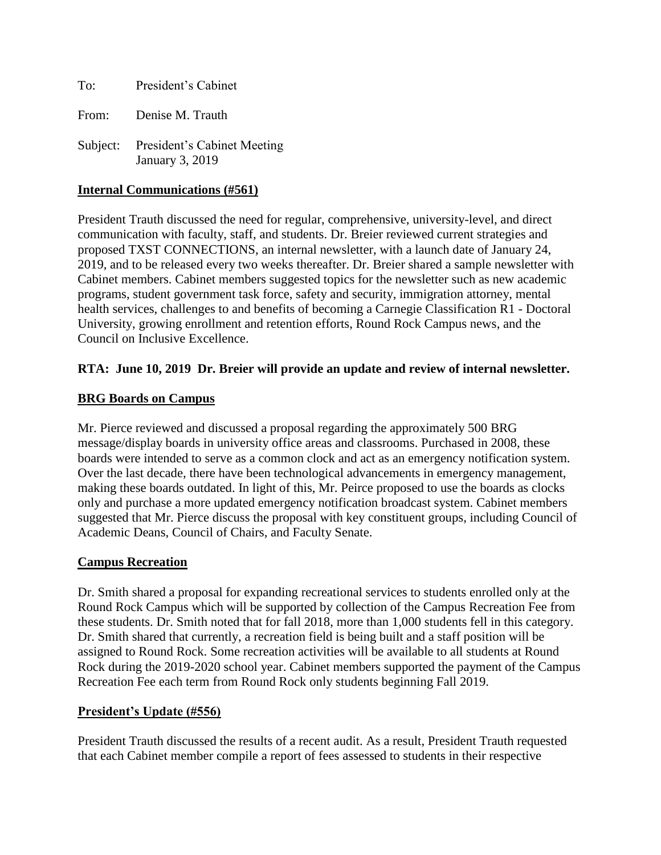To: President's Cabinet

From: Denise M. Trauth

Subject: President's Cabinet Meeting January 3, 2019

# **Internal Communications (#561)**

President Trauth discussed the need for regular, comprehensive, university-level, and direct communication with faculty, staff, and students. Dr. Breier reviewed current strategies and proposed TXST CONNECTIONS, an internal newsletter, with a launch date of January 24, 2019, and to be released every two weeks thereafter. Dr. Breier shared a sample newsletter with Cabinet members. Cabinet members suggested topics for the newsletter such as new academic programs, student government task force, safety and security, immigration attorney, mental health services, challenges to and benefits of becoming a Carnegie Classification R1 - Doctoral University, growing enrollment and retention efforts, Round Rock Campus news, and the Council on Inclusive Excellence.

# **RTA: June 10, 2019 Dr. Breier will provide an update and review of internal newsletter.**

# **BRG Boards on Campus**

Mr. Pierce reviewed and discussed a proposal regarding the approximately 500 BRG message/display boards in university office areas and classrooms. Purchased in 2008, these boards were intended to serve as a common clock and act as an emergency notification system. Over the last decade, there have been technological advancements in emergency management, making these boards outdated. In light of this, Mr. Peirce proposed to use the boards as clocks only and purchase a more updated emergency notification broadcast system. Cabinet members suggested that Mr. Pierce discuss the proposal with key constituent groups, including Council of Academic Deans, Council of Chairs, and Faculty Senate.

## **Campus Recreation**

Dr. Smith shared a proposal for expanding recreational services to students enrolled only at the Round Rock Campus which will be supported by collection of the Campus Recreation Fee from these students. Dr. Smith noted that for fall 2018, more than 1,000 students fell in this category. Dr. Smith shared that currently, a recreation field is being built and a staff position will be assigned to Round Rock. Some recreation activities will be available to all students at Round Rock during the 2019-2020 school year. Cabinet members supported the payment of the Campus Recreation Fee each term from Round Rock only students beginning Fall 2019.

## **President's Update (#556)**

President Trauth discussed the results of a recent audit. As a result, President Trauth requested that each Cabinet member compile a report of fees assessed to students in their respective